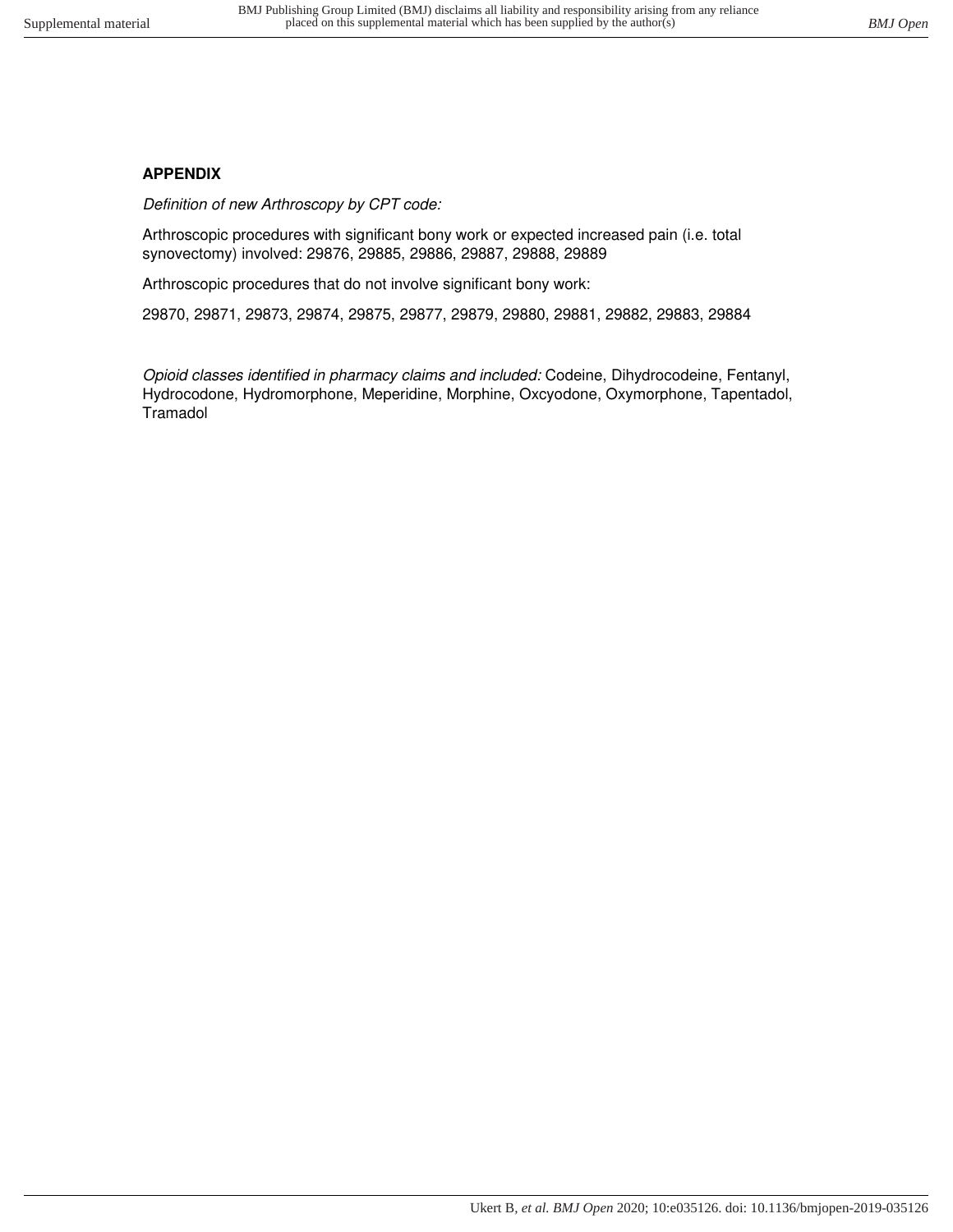# **APPENDIX**

Definition of new Arthroscopy by CPT code:

Arthroscopic procedures with significant bony work or expected increased pain (i.e. total synovectomy) involved: 29876, 29885, 29886, 29887, 29888, 29889

Arthroscopic procedures that do not involve significant bony work:

29870, 29871, 29873, 29874, 29875, 29877, 29879, 29880, 29881, 29882, 29883, 29884

Opioid classes identified in pharmacy claims and included: Codeine, Dihydrocodeine, Fentanyl, Hydrocodone, Hydromorphone, Meperidine, Morphine, Oxcyodone, Oxymorphone, Tapentadol, **Tramadol**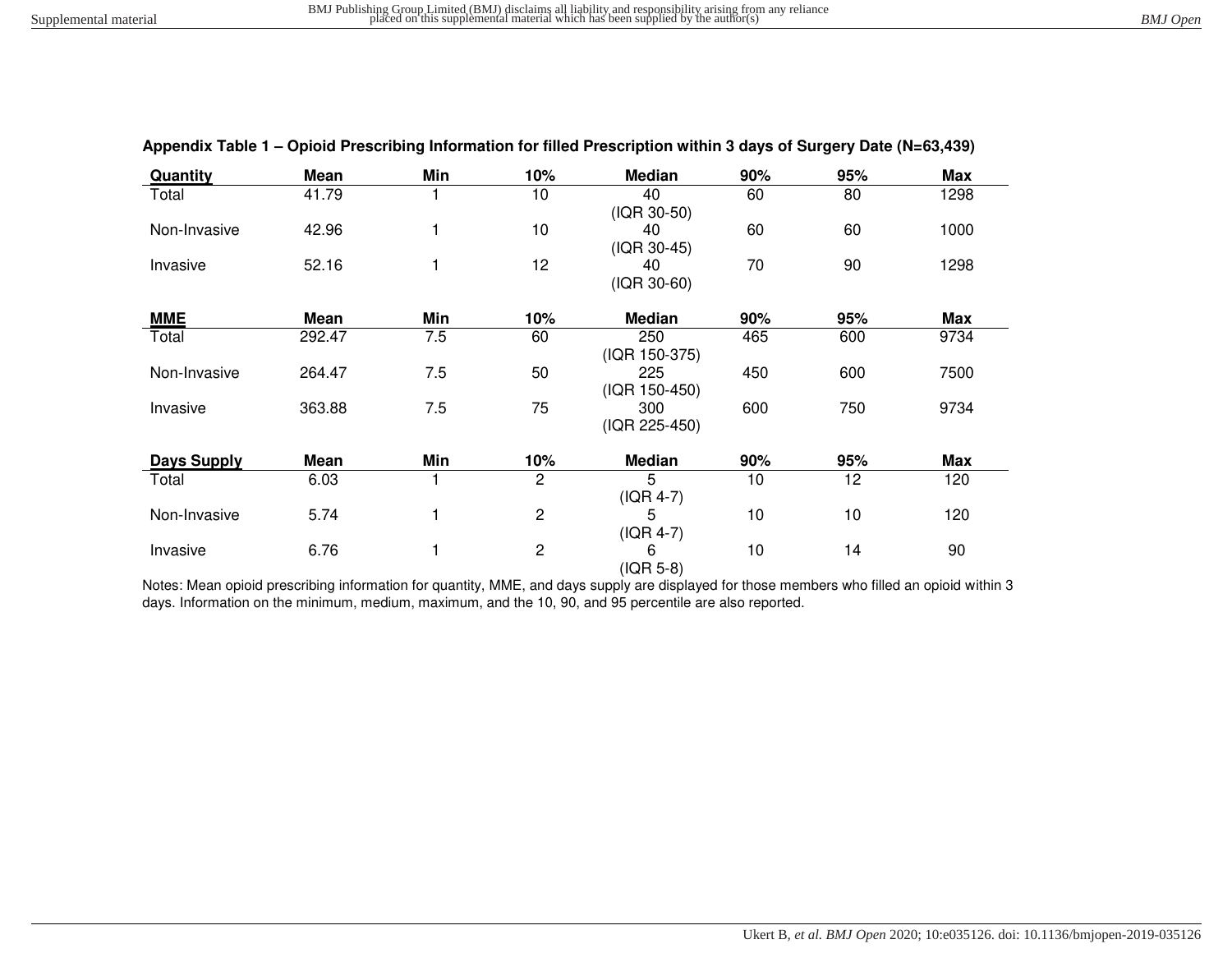| Quantity           | <b>Mean</b> | Min | 10%            | Median               | 90% | 95% | <b>Max</b> |
|--------------------|-------------|-----|----------------|----------------------|-----|-----|------------|
| Total              | 41.79       |     | 10             | 40<br>(IQR 30-50)    | 60  | 80  | 1298       |
| Non-Invasive       | 42.96       |     | 10             | 40<br>(IQR 30-45)    | 60  | 60  | 1000       |
| Invasive           | 52.16       |     | 12             | 40<br>(IQR 30-60)    | 70  | 90  | 1298       |
| <b>MME</b>         | Mean        | Min | 10%            | Median               | 90% | 95% | <b>Max</b> |
| Total              | 292.47      | 7.5 | 60             | 250<br>(IQR 150-375) | 465 | 600 | 9734       |
| Non-Invasive       | 264.47      | 7.5 | 50             | 225<br>(IQR 150-450) | 450 | 600 | 7500       |
| Invasive           | 363.88      | 7.5 | 75             | 300<br>(IQR 225-450) | 600 | 750 | 9734       |
| <b>Days Supply</b> | Mean        | Min | 10%            | <b>Median</b>        | 90% | 95% | <b>Max</b> |
| Total              | 6.03        |     | $\overline{2}$ | 5<br>$( IQR 4-7)$    | 10  | 12  | 120        |
| Non-Invasive       | 5.74        |     | $\overline{c}$ | 5<br>$( IQR 4-7)$    | 10  | 10  | 120        |
| Invasive           | 6.76        |     | $\overline{c}$ | 6<br>(IQR 5-8)       | 10  | 14  | 90         |

#### **Appendix Table 1 – Opioid Prescribing Information for filled Prescription within 3 days of Surgery Date (N=63,439)**

Notes: Mean opioid prescribing information for quantity, MME, and days supply are displayed for those members who filled an opioid within 3 days. Information on the minimum, medium, maximum, and the 10, 90, and 95 percentile are also reported.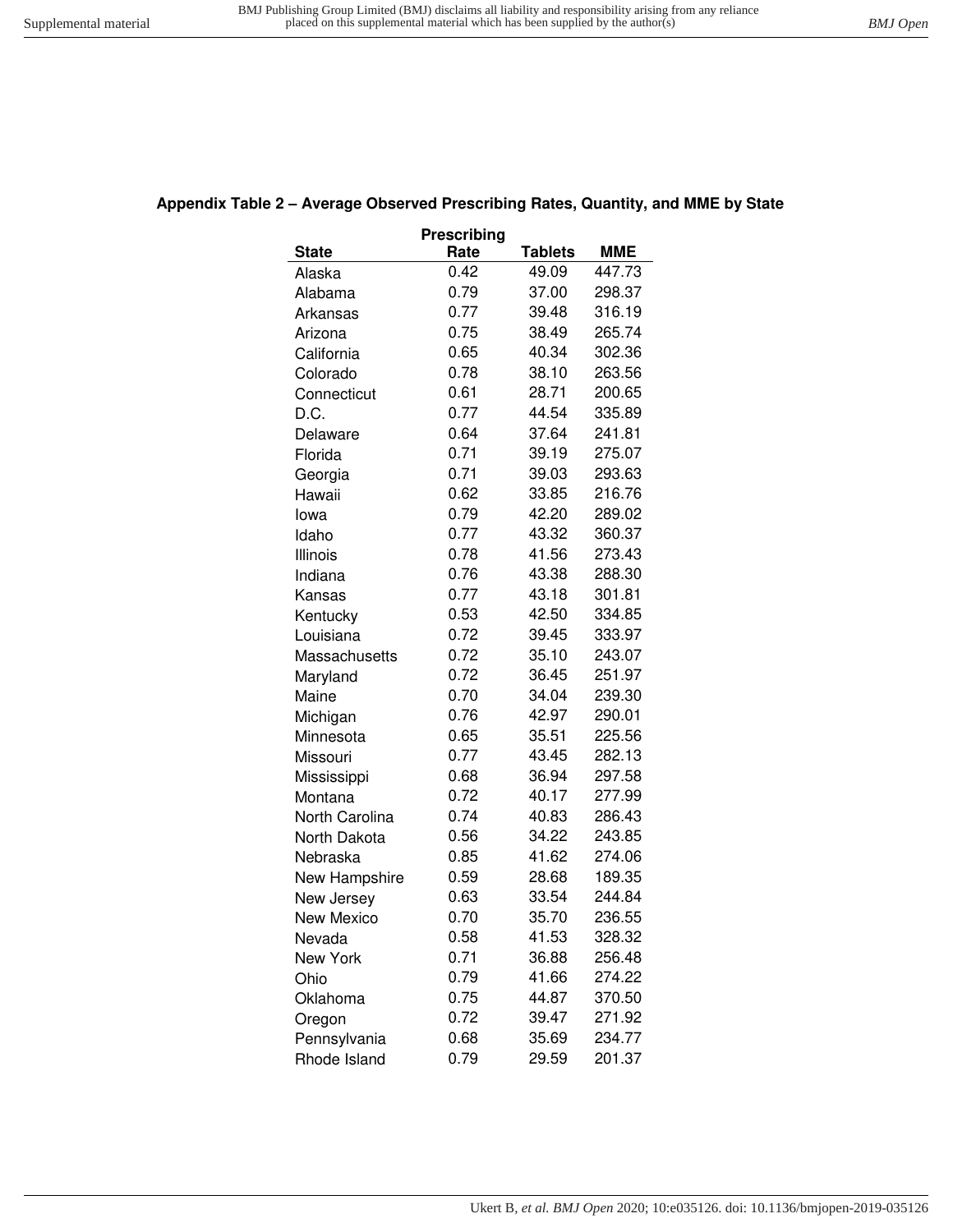# **Appendix Table 2 – Average Observed Prescribing Rates, Quantity, and MME by State**

| Prescribing     |      |                |            |  |  |
|-----------------|------|----------------|------------|--|--|
| <b>State</b>    | Rate | <b>Tablets</b> | <b>MME</b> |  |  |
| Alaska          | 0.42 | 49.09          | 447.73     |  |  |
| Alabama         | 0.79 | 37.00          | 298.37     |  |  |
| Arkansas        | 0.77 | 39.48          | 316.19     |  |  |
| Arizona         | 0.75 | 38.49          | 265.74     |  |  |
| California      | 0.65 | 40.34          | 302.36     |  |  |
| Colorado        | 0.78 | 38.10          | 263.56     |  |  |
| Connecticut     | 0.61 | 28.71          | 200.65     |  |  |
| D.C.            | 0.77 | 44.54          | 335.89     |  |  |
| Delaware        | 0.64 | 37.64          | 241.81     |  |  |
| Florida         | 0.71 | 39.19          | 275.07     |  |  |
| Georgia         | 0.71 | 39.03          | 293.63     |  |  |
| Hawaii          | 0.62 | 33.85          | 216.76     |  |  |
| lowa            | 0.79 | 42.20          | 289.02     |  |  |
| Idaho           | 0.77 | 43.32          | 360.37     |  |  |
| Illinois        | 0.78 | 41.56          | 273.43     |  |  |
| Indiana         | 0.76 | 43.38          | 288.30     |  |  |
| Kansas          | 0.77 | 43.18          | 301.81     |  |  |
| Kentucky        | 0.53 | 42.50          | 334.85     |  |  |
| Louisiana       | 0.72 | 39.45          | 333.97     |  |  |
| Massachusetts   | 0.72 | 35.10          | 243.07     |  |  |
| Maryland        | 0.72 | 36.45          | 251.97     |  |  |
| Maine           | 0.70 | 34.04          | 239.30     |  |  |
| Michigan        | 0.76 | 42.97          | 290.01     |  |  |
| Minnesota       | 0.65 | 35.51          | 225.56     |  |  |
| Missouri        | 0.77 | 43.45          | 282.13     |  |  |
| Mississippi     | 0.68 | 36.94          | 297.58     |  |  |
| Montana         | 0.72 | 40.17          | 277.99     |  |  |
| North Carolina  | 0.74 | 40.83          | 286.43     |  |  |
| North Dakota    | 0.56 | 34.22          | 243.85     |  |  |
| Nebraska        | 0.85 | 41.62          | 274.06     |  |  |
| New Hampshire   | 0.59 | 28.68          | 189.35     |  |  |
| New Jersey      | 0.63 | 33.54          | 244.84     |  |  |
| New Mexico      | 0.70 | 35.70          | 236.55     |  |  |
| Nevada          | 0.58 | 41.53          | 328.32     |  |  |
| <b>New York</b> | 0.71 | 36.88          | 256.48     |  |  |
| Ohio            | 0.79 | 41.66          | 274.22     |  |  |
| Oklahoma        | 0.75 | 44.87          | 370.50     |  |  |
| Oregon          | 0.72 | 39.47          | 271.92     |  |  |
| Pennsylvania    | 0.68 | 35.69          | 234.77     |  |  |
| Rhode Island    | 0.79 | 29.59          | 201.37     |  |  |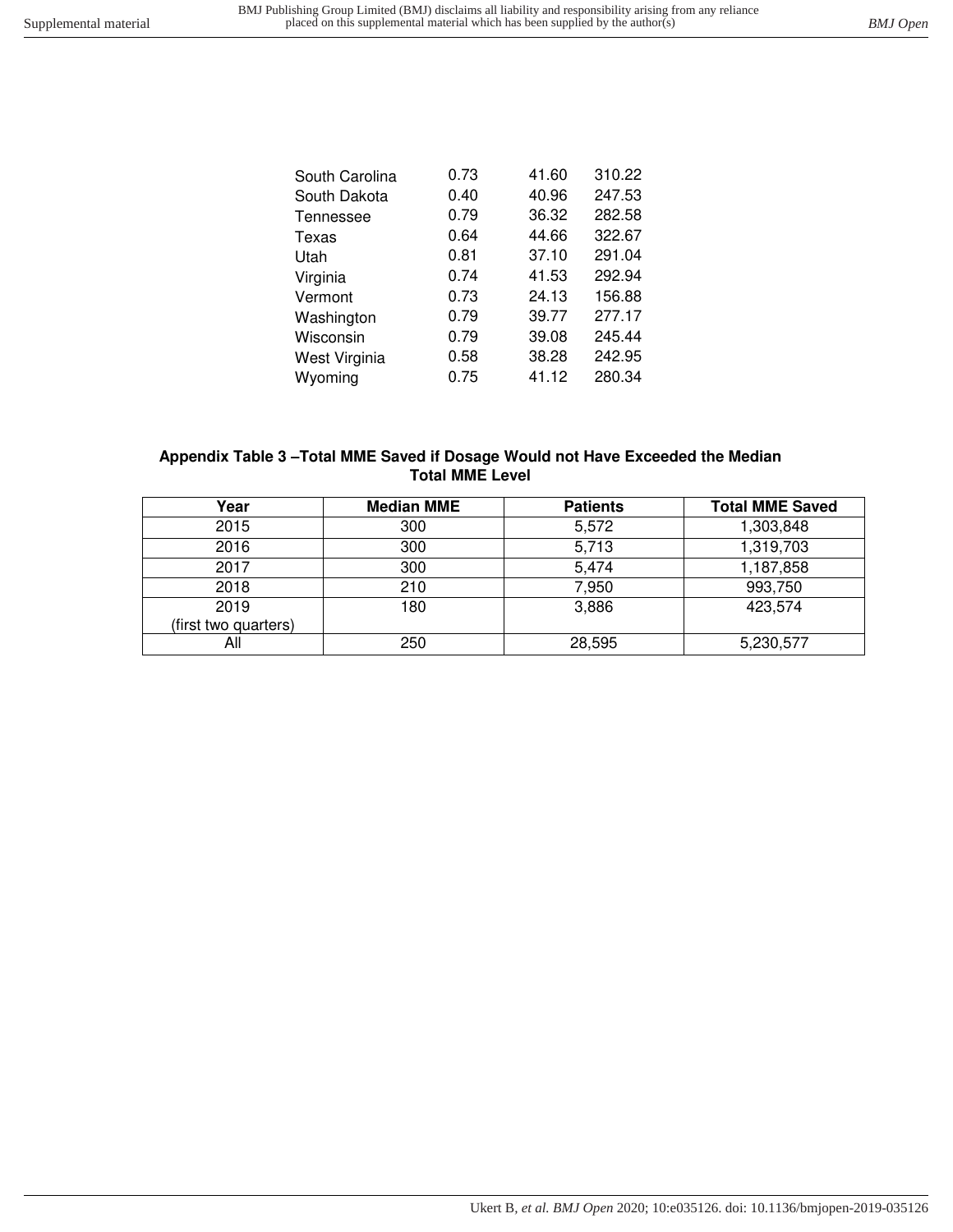| South Carolina | 0.73 | 41.60 | 310.22 |
|----------------|------|-------|--------|
| South Dakota   | 0.40 | 40.96 | 247.53 |
| Tennessee      | 0.79 | 36.32 | 282.58 |
| Texas          | 0.64 | 44.66 | 322.67 |
| Utah           | 0.81 | 37.10 | 291.04 |
| Virginia       | 0.74 | 41.53 | 292.94 |
| Vermont        | 0.73 | 24.13 | 156.88 |
| Washington     | 0.79 | 39.77 | 277.17 |
| Wisconsin      | 0.79 | 39.08 | 245.44 |
| West Virginia  | 0.58 | 38.28 | 242.95 |
| Wyoming        | 0.75 | 41.12 | 280.34 |

## **Appendix Table 3 –Total MME Saved if Dosage Would not Have Exceeded the Median Total MME Level**

| Year                 | <b>Median MME</b> | <b>Patients</b> | <b>Total MME Saved</b> |
|----------------------|-------------------|-----------------|------------------------|
| 2015                 | 300               | 5,572           | 1,303,848              |
| 2016                 | 300               | 5,713           | 1,319,703              |
| 2017                 | 300               | 5,474           | 1,187,858              |
| 2018                 | 210               | 7,950           | 993,750                |
| 2019                 | 180               | 3,886           | 423,574                |
| (first two quarters) |                   |                 |                        |
| All                  | 250               | 28,595          | 5,230,577              |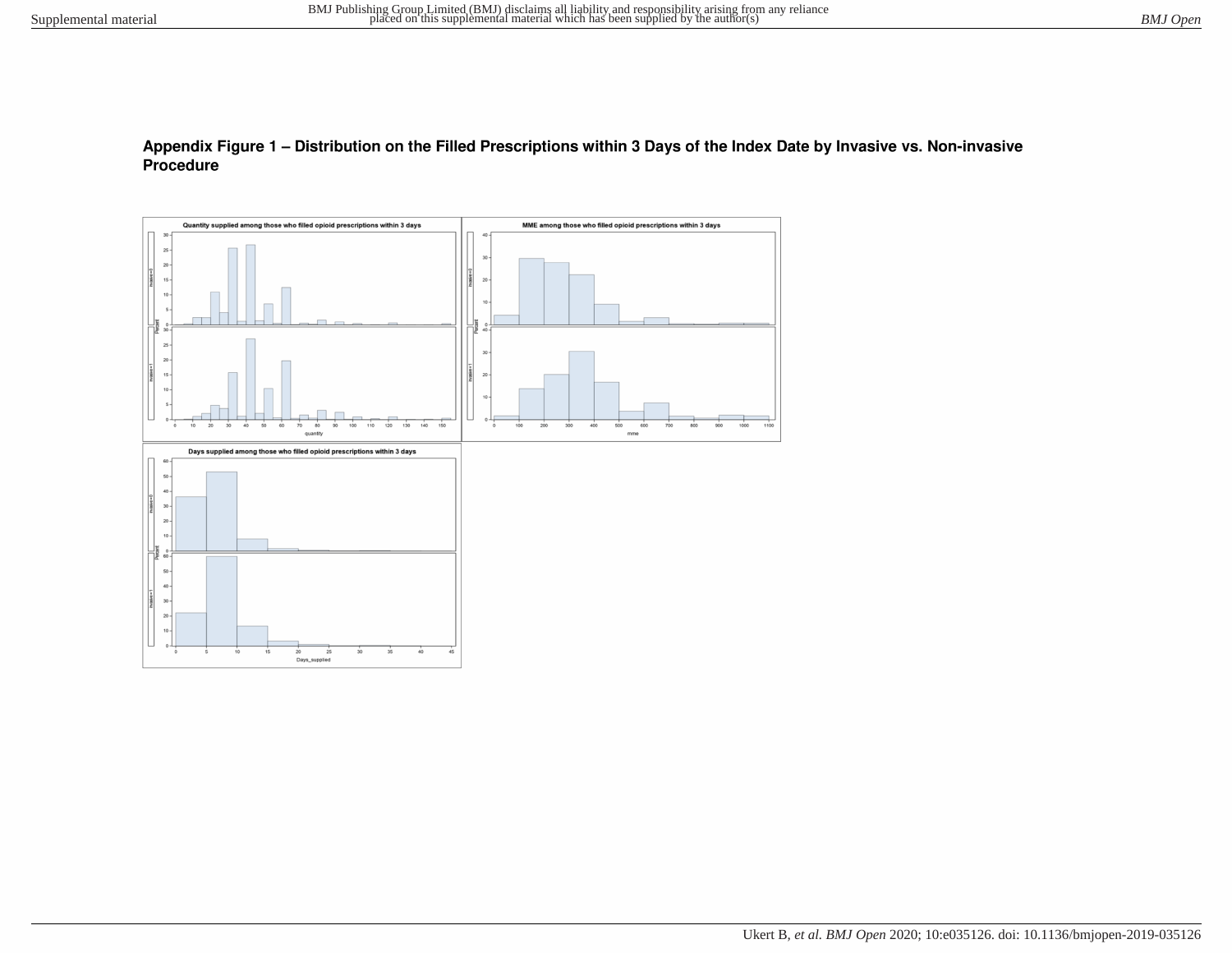## Appendix Figure 1 - Distribution on the Filled Prescriptions within 3 Days of the Index Date by Invasive vs. Non-invasive Procedure

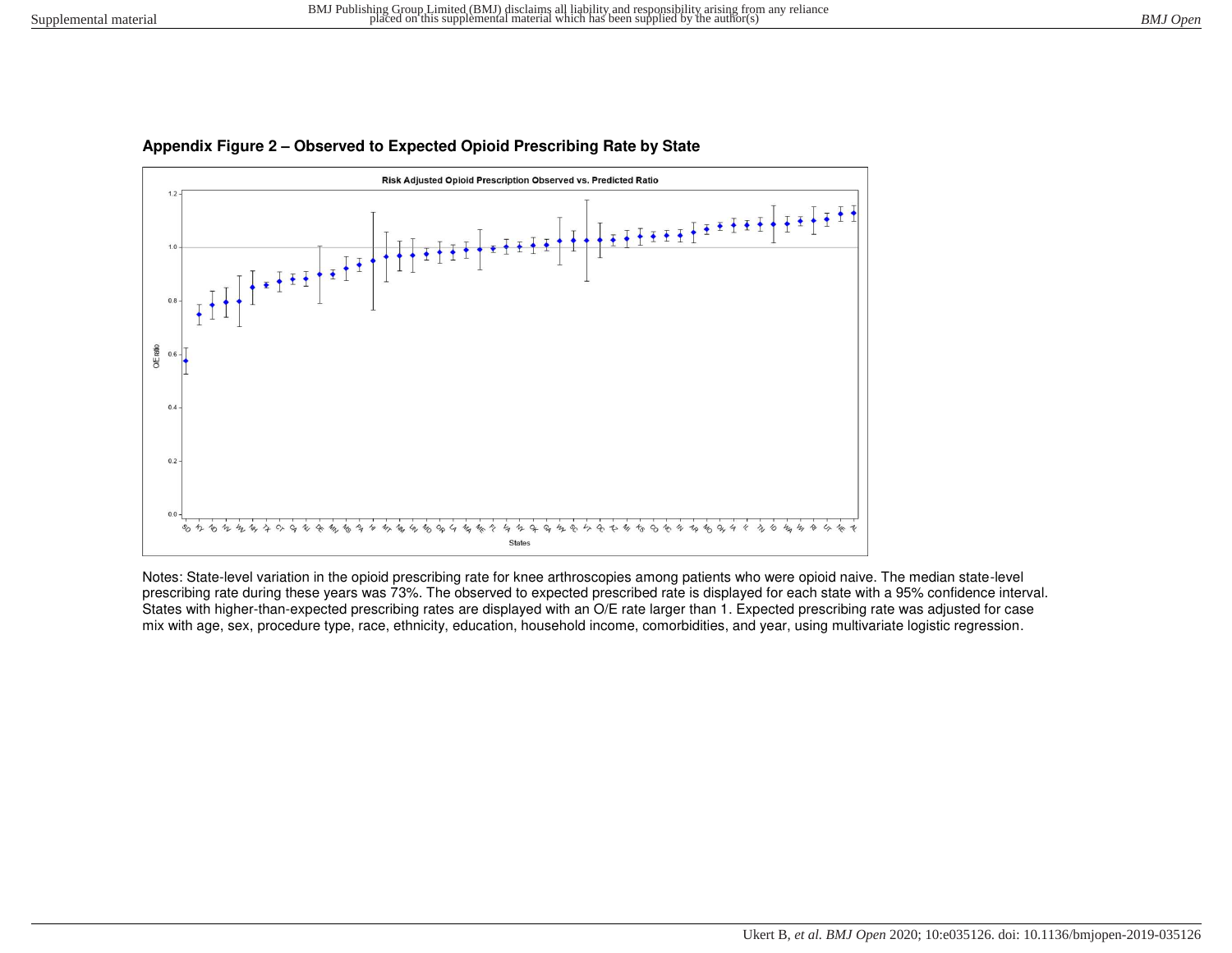

#### **Appendix Figure 2 – Observed to Expected Opioid Prescribing Rate by State**

Notes: State-level variation in the opioid prescribing rate for knee arthroscopies among patients who were opioid naive. The median state-level prescribing rate during these years was 73%. The observed to expected prescribed rate is displayed for each state with a 95% confidence interval. States with higher-than-expected prescribing rates are displayed with an O/E rate larger than 1. Expected prescribing rate was adjusted for case mix with age, sex, procedure type, race, ethnicity, education, household income, comorbidities, and year, using multivariate logistic regression.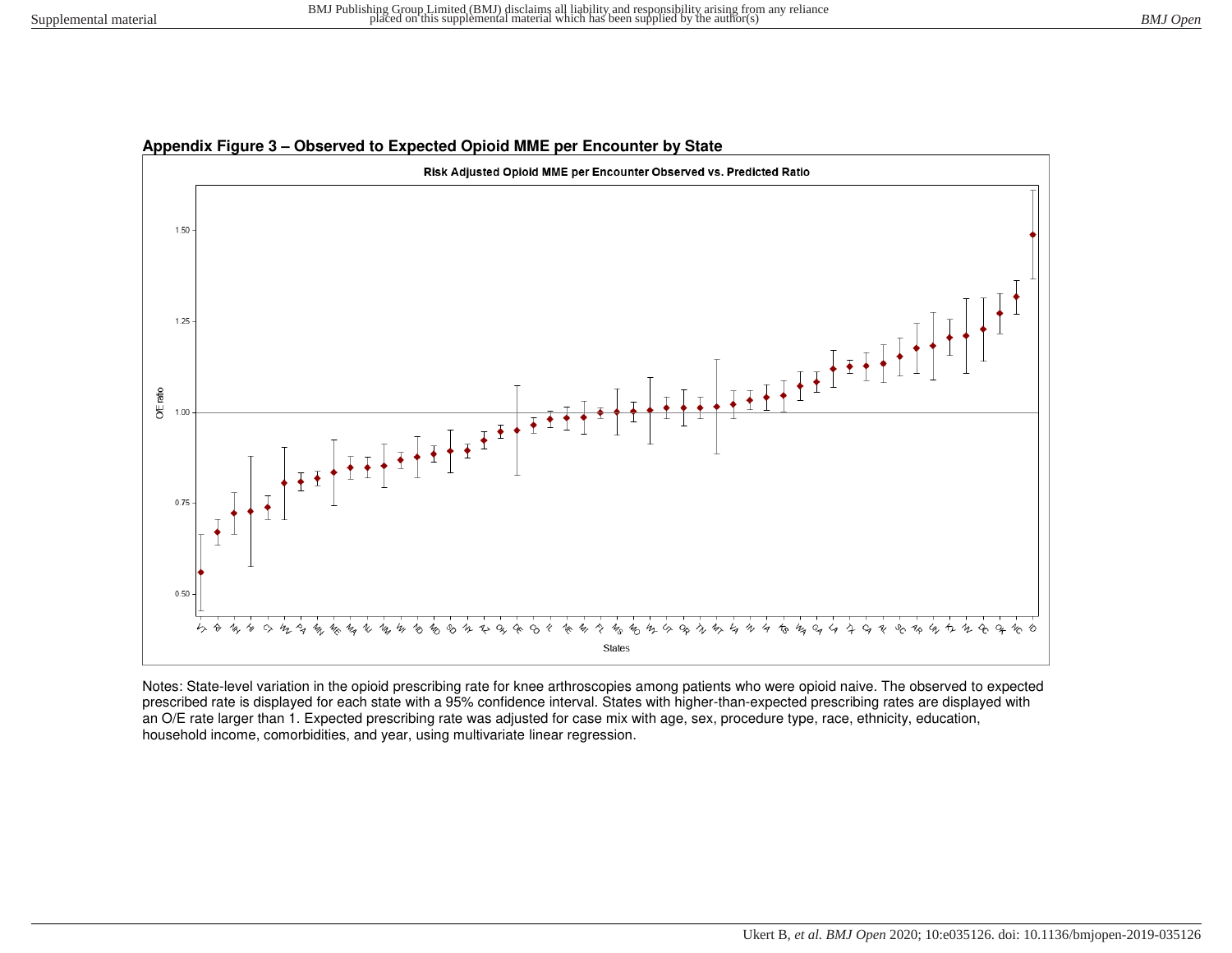# Risk Adjusted Opioid MME per Encounter Observed vs. Predicted Ratio 1.50 1.25 O/E ratio 1.00  $0.75$  $0.50$  $4/$  $\frac{1}{\sqrt{2}}$  $\mathcal{U}_0$  $4\mathstrut_{\textbf{1}}$  $\mathcal{L}_{\lambda}$  $\nu$  $\mathcal{L}_{\mathcal{D}}$  $Q_{\ell}$  $\mathcal{U}_{\cap}$ 6 States

#### **Appendix Figure 3 – Observed to Expected Opioid MME per Encounter by State**

Notes: State-level variation in the opioid prescribing rate for knee arthroscopies among patients who were opioid naive. The observed to expected prescribed rate is displayed for each state with a 95% confidence interval. States with higher-than-expected prescribing rates are displayed with an O/E rate larger than 1. Expected prescribing rate was adjusted for case mix with age, sex, procedure type, race, ethnicity, education, household income, comorbidities, and year, using multivariate linear regression.